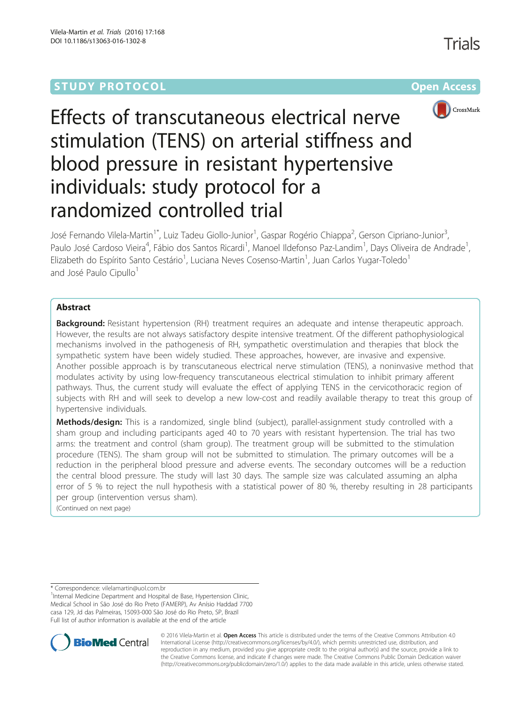## **STUDY PROTOCOL CONSUMING THE RESERVE ACCESS**

Trials



# Effects of transcutaneous electrical nerve stimulation (TENS) on arterial stiffness and blood pressure in resistant hypertensive individuals: study protocol for a randomized controlled trial

José Fernando Vilela-Martin<sup>1\*</sup>, Luiz Tadeu Giollo-Junior<sup>1</sup>, Gaspar Rogério Chiappa<sup>2</sup>, Gerson Cipriano-Junior<sup>3</sup> , Paulo José Cardoso Vieira<sup>4</sup>, Fábio dos Santos Ricardi<sup>1</sup>, Manoel Ildefonso Paz-Landim<sup>1</sup>, Days Oliveira de Andrade<sup>1</sup> , Elizabeth do Espírito Santo Cestário<sup>1</sup>, Luciana Neves Cosenso-Martin<sup>1</sup>, Juan Carlos Yugar-Toledo<sup>1</sup> and José Paulo Cipullo<sup>1</sup>

#### Abstract

**Background:** Resistant hypertension (RH) treatment requires an adequate and intense therapeutic approach. However, the results are not always satisfactory despite intensive treatment. Of the different pathophysiological mechanisms involved in the pathogenesis of RH, sympathetic overstimulation and therapies that block the sympathetic system have been widely studied. These approaches, however, are invasive and expensive. Another possible approach is by transcutaneous electrical nerve stimulation (TENS), a noninvasive method that modulates activity by using low-frequency transcutaneous electrical stimulation to inhibit primary afferent pathways. Thus, the current study will evaluate the effect of applying TENS in the cervicothoracic region of subjects with RH and will seek to develop a new low-cost and readily available therapy to treat this group of hypertensive individuals.

Methods/design: This is a randomized, single blind (subject), parallel-assignment study controlled with a sham group and including participants aged 40 to 70 years with resistant hypertension. The trial has two arms: the treatment and control (sham group). The treatment group will be submitted to the stimulation procedure (TENS). The sham group will not be submitted to stimulation. The primary outcomes will be a reduction in the peripheral blood pressure and adverse events. The secondary outcomes will be a reduction the central blood pressure. The study will last 30 days. The sample size was calculated assuming an alpha error of 5 % to reject the null hypothesis with a statistical power of 80 %, thereby resulting in 28 participants per group (intervention versus sham).

(Continued on next page)

\* Correspondence: [vilelamartin@uol.com.br](mailto:vilelamartin@uol.com.br) <sup>1</sup>

<sup>1</sup>Internal Medicine Department and Hospital de Base, Hypertension Clinic, Medical School in São José do Rio Preto (FAMERP), Av Anísio Haddad 7700 casa 129, Jd das Palmeiras, 15093-000 São José do Rio Preto, SP, Brazil Full list of author information is available at the end of the article



© 2016 Vilela-Martin et al. Open Access This article is distributed under the terms of the Creative Commons Attribution 4.0 International License [\(http://creativecommons.org/licenses/by/4.0/](http://creativecommons.org/licenses/by/4.0/)), which permits unrestricted use, distribution, and reproduction in any medium, provided you give appropriate credit to the original author(s) and the source, provide a link to the Creative Commons license, and indicate if changes were made. The Creative Commons Public Domain Dedication waiver [\(http://creativecommons.org/publicdomain/zero/1.0/](http://creativecommons.org/publicdomain/zero/1.0/)) applies to the data made available in this article, unless otherwise stated.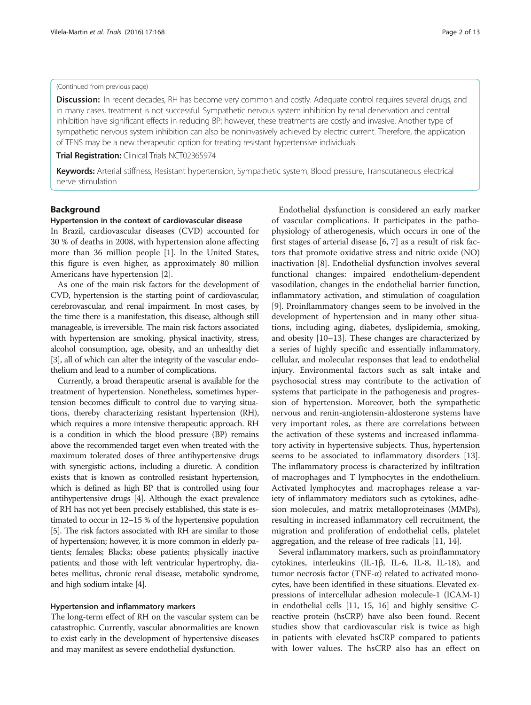#### (Continued from previous page)

**Discussion:** In recent decades, RH has become very common and costly. Adequate control requires several drugs, and in many cases, treatment is not successful. Sympathetic nervous system inhibition by renal denervation and central inhibition have significant effects in reducing BP; however, these treatments are costly and invasive. Another type of sympathetic nervous system inhibition can also be noninvasively achieved by electric current. Therefore, the application of TENS may be a new therapeutic option for treating resistant hypertensive individuals.

Trial Registration: Clinical Trials [NCT02365974](https://clinicaltrials.gov/ct2/show/NCT02365974)

Keywords: Arterial stiffness, Resistant hypertension, Sympathetic system, Blood pressure, Transcutaneous electrical nerve stimulation

#### Background

#### Hypertension in the context of cardiovascular disease

In Brazil, cardiovascular diseases (CVD) accounted for 30 % of deaths in 2008, with hypertension alone affecting more than 36 million people [\[1\]](#page-10-0). In the United States, this figure is even higher, as approximately 80 million Americans have hypertension [[2\]](#page-10-0).

As one of the main risk factors for the development of CVD, hypertension is the starting point of cardiovascular, cerebrovascular, and renal impairment. In most cases, by the time there is a manifestation, this disease, although still manageable, is irreversible. The main risk factors associated with hypertension are smoking, physical inactivity, stress, alcohol consumption, age, obesity, and an unhealthy diet [[3](#page-10-0)], all of which can alter the integrity of the vascular endothelium and lead to a number of complications.

Currently, a broad therapeutic arsenal is available for the treatment of hypertension. Nonetheless, sometimes hypertension becomes difficult to control due to varying situations, thereby characterizing resistant hypertension (RH), which requires a more intensive therapeutic approach. RH is a condition in which the blood pressure (BP) remains above the recommended target even when treated with the maximum tolerated doses of three antihypertensive drugs with synergistic actions, including a diuretic. A condition exists that is known as controlled resistant hypertension, which is defined as high BP that is controlled using four antihypertensive drugs [\[4](#page-10-0)]. Although the exact prevalence of RH has not yet been precisely established, this state is estimated to occur in 12–15 % of the hypertensive population [[5](#page-10-0)]. The risk factors associated with RH are similar to those of hypertension; however, it is more common in elderly patients; females; Blacks; obese patients; physically inactive patients; and those with left ventricular hypertrophy, diabetes mellitus, chronic renal disease, metabolic syndrome, and high sodium intake [[4](#page-10-0)].

#### Hypertension and inflammatory markers

The long-term effect of RH on the vascular system can be catastrophic. Currently, vascular abnormalities are known to exist early in the development of hypertensive diseases and may manifest as severe endothelial dysfunction.

Endothelial dysfunction is considered an early marker of vascular complications. It participates in the pathophysiology of atherogenesis, which occurs in one of the first stages of arterial disease [[6, 7\]](#page-10-0) as a result of risk factors that promote oxidative stress and nitric oxide (NO) inactivation [\[8](#page-10-0)]. Endothelial dysfunction involves several functional changes: impaired endothelium-dependent vasodilation, changes in the endothelial barrier function, inflammatory activation, and stimulation of coagulation [[9\]](#page-10-0). Proinflammatory changes seem to be involved in the development of hypertension and in many other situations, including aging, diabetes, dyslipidemia, smoking, and obesity [[10](#page-10-0)–[13\]](#page-11-0). These changes are characterized by a series of highly specific and essentially inflammatory, cellular, and molecular responses that lead to endothelial injury. Environmental factors such as salt intake and psychosocial stress may contribute to the activation of systems that participate in the pathogenesis and progression of hypertension. Moreover, both the sympathetic nervous and renin-angiotensin-aldosterone systems have very important roles, as there are correlations between the activation of these systems and increased inflammatory activity in hypertensive subjects. Thus, hypertension seems to be associated to inflammatory disorders [\[13](#page-11-0)]. The inflammatory process is characterized by infiltration of macrophages and T lymphocytes in the endothelium. Activated lymphocytes and macrophages release a variety of inflammatory mediators such as cytokines, adhesion molecules, and matrix metalloproteinases (MMPs), resulting in increased inflammatory cell recruitment, the migration and proliferation of endothelial cells, platelet aggregation, and the release of free radicals [[11, 14\]](#page-11-0).

Several inflammatory markers, such as proinflammatory cytokines, interleukins (IL-1β, IL-6, IL-8, IL-18), and tumor necrosis factor (TNF-α) related to activated monocytes, have been identified in these situations. Elevated expressions of intercellular adhesion molecule-1 (ICAM-1) in endothelial cells [\[11, 15](#page-11-0), [16\]](#page-11-0) and highly sensitive Creactive protein (hsCRP) have also been found. Recent studies show that cardiovascular risk is twice as high in patients with elevated hsCRP compared to patients with lower values. The hsCRP also has an effect on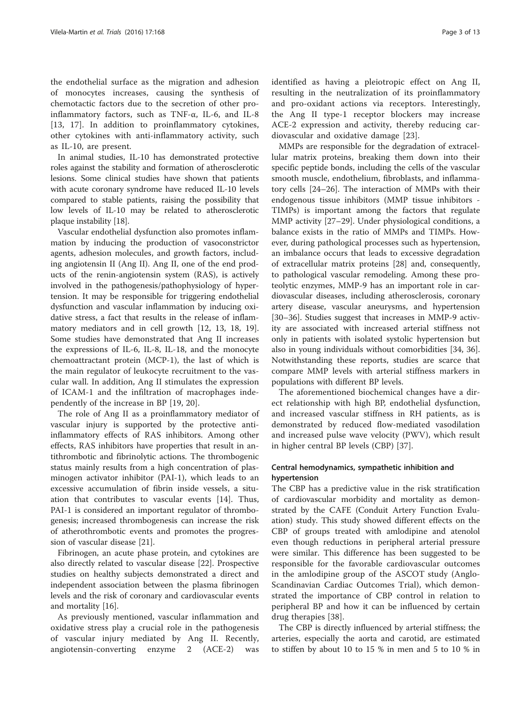the endothelial surface as the migration and adhesion of monocytes increases, causing the synthesis of chemotactic factors due to the secretion of other proinflammatory factors, such as TNF- $\alpha$ , IL-6, and IL-8 [[13, 17\]](#page-11-0). In addition to proinflammatory cytokines, other cytokines with anti-inflammatory activity, such as IL-10, are present.

In animal studies, IL-10 has demonstrated protective roles against the stability and formation of atherosclerotic lesions. Some clinical studies have shown that patients with acute coronary syndrome have reduced IL-10 levels compared to stable patients, raising the possibility that low levels of IL-10 may be related to atherosclerotic plaque instability [\[18\]](#page-11-0).

Vascular endothelial dysfunction also promotes inflammation by inducing the production of vasoconstrictor agents, adhesion molecules, and growth factors, including angiotensin II (Ang II). Ang II, one of the end products of the renin-angiotensin system (RAS), is actively involved in the pathogenesis/pathophysiology of hypertension. It may be responsible for triggering endothelial dysfunction and vascular inflammation by inducing oxidative stress, a fact that results in the release of inflammatory mediators and in cell growth [[12, 13](#page-11-0), [18](#page-11-0), [19](#page-11-0)]. Some studies have demonstrated that Ang II increases the expressions of IL-6, IL-8, IL-18, and the monocyte chemoattractant protein (MCP-1), the last of which is the main regulator of leukocyte recruitment to the vascular wall. In addition, Ang II stimulates the expression of ICAM-1 and the infiltration of macrophages independently of the increase in BP [\[19](#page-11-0), [20\]](#page-11-0).

The role of Ang II as a proinflammatory mediator of vascular injury is supported by the protective antiinflammatory effects of RAS inhibitors. Among other effects, RAS inhibitors have properties that result in antithrombotic and fibrinolytic actions. The thrombogenic status mainly results from a high concentration of plasminogen activator inhibitor (PAI-1), which leads to an excessive accumulation of fibrin inside vessels, a situation that contributes to vascular events [\[14\]](#page-11-0). Thus, PAI-1 is considered an important regulator of thrombogenesis; increased thrombogenesis can increase the risk of atherothrombotic events and promotes the progression of vascular disease [[21](#page-11-0)].

Fibrinogen, an acute phase protein, and cytokines are also directly related to vascular disease [\[22\]](#page-11-0). Prospective studies on healthy subjects demonstrated a direct and independent association between the plasma fibrinogen levels and the risk of coronary and cardiovascular events and mortality [[16\]](#page-11-0).

As previously mentioned, vascular inflammation and oxidative stress play a crucial role in the pathogenesis of vascular injury mediated by Ang II. Recently, angiotensin-converting enzyme 2 (ACE-2) was

identified as having a pleiotropic effect on Ang II, resulting in the neutralization of its proinflammatory and pro-oxidant actions via receptors. Interestingly, the Ang II type-1 receptor blockers may increase ACE-2 expression and activity, thereby reducing cardiovascular and oxidative damage [\[23](#page-11-0)].

MMPs are responsible for the degradation of extracellular matrix proteins, breaking them down into their specific peptide bonds, including the cells of the vascular smooth muscle, endothelium, fibroblasts, and inflammatory cells [\[24](#page-11-0)–[26\]](#page-11-0). The interaction of MMPs with their endogenous tissue inhibitors (MMP tissue inhibitors - TIMPs) is important among the factors that regulate MMP activity [\[27](#page-11-0)–[29\]](#page-11-0). Under physiological conditions, a balance exists in the ratio of MMPs and TIMPs. However, during pathological processes such as hypertension, an imbalance occurs that leads to excessive degradation of extracellular matrix proteins [[28\]](#page-11-0) and, consequently, to pathological vascular remodeling. Among these proteolytic enzymes, MMP-9 has an important role in cardiovascular diseases, including atherosclerosis, coronary artery disease, vascular aneurysms, and hypertension [[30](#page-11-0)–[36](#page-11-0)]. Studies suggest that increases in MMP-9 activity are associated with increased arterial stiffness not only in patients with isolated systolic hypertension but also in young individuals without comorbidities [\[34, 36](#page-11-0)]. Notwithstanding these reports, studies are scarce that compare MMP levels with arterial stiffness markers in populations with different BP levels.

The aforementioned biochemical changes have a direct relationship with high BP, endothelial dysfunction, and increased vascular stiffness in RH patients, as is demonstrated by reduced flow-mediated vasodilation and increased pulse wave velocity (PWV), which result in higher central BP levels (CBP) [\[37](#page-11-0)].

#### Central hemodynamics, sympathetic inhibition and hypertension

The CBP has a predictive value in the risk stratification of cardiovascular morbidity and mortality as demonstrated by the CAFE (Conduit Artery Function Evaluation) study. This study showed different effects on the CBP of groups treated with amlodipine and atenolol even though reductions in peripheral arterial pressure were similar. This difference has been suggested to be responsible for the favorable cardiovascular outcomes in the amlodipine group of the ASCOT study (Anglo-Scandinavian Cardiac Outcomes Trial), which demonstrated the importance of CBP control in relation to peripheral BP and how it can be influenced by certain drug therapies [[38\]](#page-11-0).

The CBP is directly influenced by arterial stiffness; the arteries, especially the aorta and carotid, are estimated to stiffen by about 10 to 15 % in men and 5 to 10 % in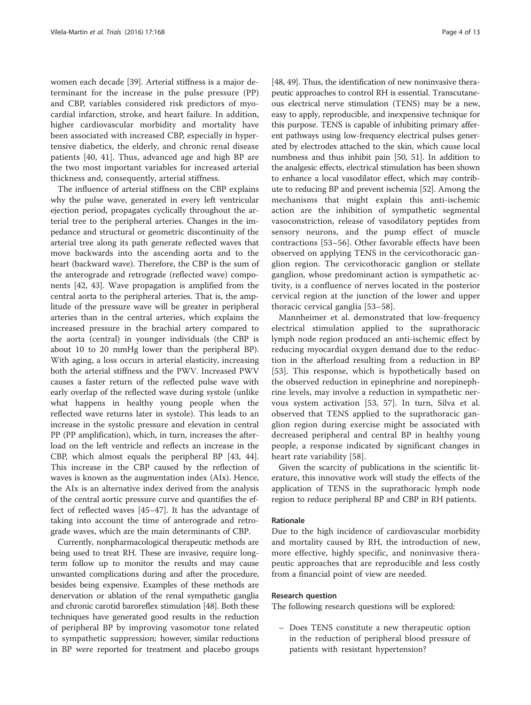women each decade [\[39](#page-11-0)]. Arterial stiffness is a major determinant for the increase in the pulse pressure (PP) and CBP, variables considered risk predictors of myocardial infarction, stroke, and heart failure. In addition, higher cardiovascular morbidity and mortality have been associated with increased CBP, especially in hypertensive diabetics, the elderly, and chronic renal disease patients [[40, 41](#page-11-0)]. Thus, advanced age and high BP are the two most important variables for increased arterial thickness and, consequently, arterial stiffness.

The influence of arterial stiffness on the CBP explains why the pulse wave, generated in every left ventricular ejection period, propagates cyclically throughout the arterial tree to the peripheral arteries. Changes in the impedance and structural or geometric discontinuity of the arterial tree along its path generate reflected waves that move backwards into the ascending aorta and to the heart (backward wave). Therefore, the CBP is the sum of the anterograde and retrograde (reflected wave) components [\[42, 43\]](#page-11-0). Wave propagation is amplified from the central aorta to the peripheral arteries. That is, the amplitude of the pressure wave will be greater in peripheral arteries than in the central arteries, which explains the increased pressure in the brachial artery compared to the aorta (central) in younger individuals (the CBP is about 10 to 20 mmHg lower than the peripheral BP). With aging, a loss occurs in arterial elasticity, increasing both the arterial stiffness and the PWV. Increased PWV causes a faster return of the reflected pulse wave with early overlap of the reflected wave during systole (unlike what happens in healthy young people when the reflected wave returns later in systole). This leads to an increase in the systolic pressure and elevation in central PP (PP amplification), which, in turn, increases the afterload on the left ventricle and reflects an increase in the CBP, which almost equals the peripheral BP [\[43](#page-11-0), [44](#page-11-0)]. This increase in the CBP caused by the reflection of waves is known as the augmentation index (AIx). Hence, the AIx is an alternative index derived from the analysis of the central aortic pressure curve and quantifies the effect of reflected waves [[45](#page-11-0)–[47\]](#page-11-0). It has the advantage of taking into account the time of anterograde and retrograde waves, which are the main determinants of CBP.

Currently, nonpharmacological therapeutic methods are being used to treat RH. These are invasive, require longterm follow up to monitor the results and may cause unwanted complications during and after the procedure, besides being expensive. Examples of these methods are denervation or ablation of the renal sympathetic ganglia and chronic carotid baroreflex stimulation [\[48\]](#page-11-0). Both these techniques have generated good results in the reduction of peripheral BP by improving vasomotor tone related to sympathetic suppression; however, similar reductions in BP were reported for treatment and placebo groups

[[48](#page-11-0), [49\]](#page-11-0). Thus, the identification of new noninvasive therapeutic approaches to control RH is essential. Transcutaneous electrical nerve stimulation (TENS) may be a new, easy to apply, reproducible, and inexpensive technique for this purpose. TENS is capable of inhibiting primary afferent pathways using low-frequency electrical pulses generated by electrodes attached to the skin, which cause local numbness and thus inhibit pain [\[50, 51\]](#page-11-0). In addition to the analgesic effects, electrical stimulation has been shown to enhance a local vasodilator effect, which may contribute to reducing BP and prevent ischemia [\[52\]](#page-11-0). Among the mechanisms that might explain this anti-ischemic action are the inhibition of sympathetic segmental vasoconstriction, release of vasodilatory peptides from sensory neurons, and the pump effect of muscle contractions [[53](#page-11-0)–[56](#page-11-0)]. Other favorable effects have been observed on applying TENS in the cervicothoracic ganglion region. The cervicothoracic ganglion or stellate ganglion, whose predominant action is sympathetic activity, is a confluence of nerves located in the posterior cervical region at the junction of the lower and upper thoracic cervical ganglia [[53](#page-11-0)–[58\]](#page-11-0).

Mannheimer et al. demonstrated that low-frequency electrical stimulation applied to the suprathoracic lymph node region produced an anti-ischemic effect by reducing myocardial oxygen demand due to the reduction in the afterload resulting from a reduction in BP [[53](#page-11-0)]. This response, which is hypothetically based on the observed reduction in epinephrine and norepinephrine levels, may involve a reduction in sympathetic nervous system activation [\[53](#page-11-0), [57](#page-11-0)]. In turn, Silva et al. observed that TENS applied to the suprathoracic ganglion region during exercise might be associated with decreased peripheral and central BP in healthy young people, a response indicated by significant changes in heart rate variability [\[58](#page-11-0)].

Given the scarcity of publications in the scientific literature, this innovative work will study the effects of the application of TENS in the suprathoracic lymph node region to reduce peripheral BP and CBP in RH patients.

#### Rationale

Due to the high incidence of cardiovascular morbidity and mortality caused by RH, the introduction of new, more effective, highly specific, and noninvasive therapeutic approaches that are reproducible and less costly from a financial point of view are needed.

#### Research question

The following research questions will be explored:

– Does TENS constitute a new therapeutic option in the reduction of peripheral blood pressure of patients with resistant hypertension?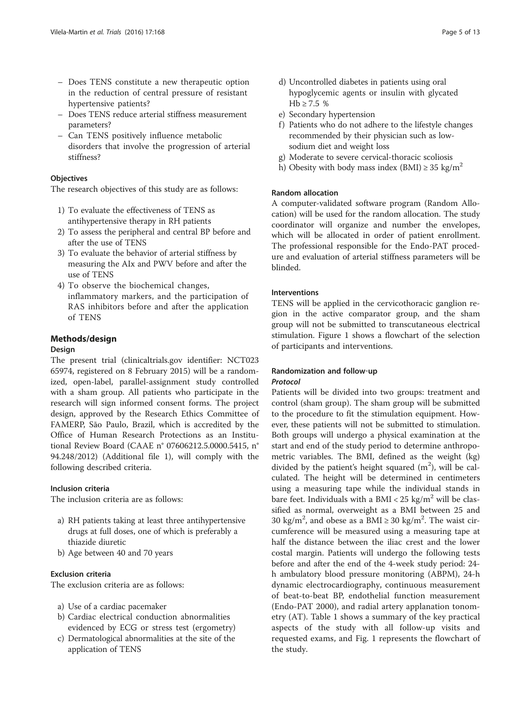- Does TENS constitute a new therapeutic option in the reduction of central pressure of resistant hypertensive patients?
- Does TENS reduce arterial stiffness measurement parameters?
- Can TENS positively influence metabolic disorders that involve the progression of arterial stiffness?

#### **Objectives**

The research objectives of this study are as follows:

- 1) To evaluate the effectiveness of TENS as antihypertensive therapy in RH patients
- 2) To assess the peripheral and central BP before and after the use of TENS
- 3) To evaluate the behavior of arterial stiffness by measuring the AIx and PWV before and after the use of TENS
- 4) To observe the biochemical changes, inflammatory markers, and the participation of RAS inhibitors before and after the application of TENS

#### Methods/design

#### Design

The present trial (clinicaltrials.gov identifier: NCT023 65974, registered on 8 February 2015) will be a randomized, open-label, parallel-assignment study controlled with a sham group. All patients who participate in the research will sign informed consent forms. The project design, approved by the Research Ethics Committee of FAMERP, São Paulo, Brazil, which is accredited by the Office of Human Research Protections as an Institutional Review Board (CAAE n° 07606212.5.0000.5415, n° 94.248/2012) (Additional file [1](#page-10-0)), will comply with the following described criteria.

#### Inclusion criteria

The inclusion criteria are as follows:

- a) RH patients taking at least three antihypertensive drugs at full doses, one of which is preferably a thiazide diuretic
- b) Age between 40 and 70 years

#### Exclusion criteria

The exclusion criteria are as follows:

- a) Use of a cardiac pacemaker
- b) Cardiac electrical conduction abnormalities evidenced by ECG or stress test (ergometry)
- c) Dermatological abnormalities at the site of the application of TENS
- d) Uncontrolled diabetes in patients using oral hypoglycemic agents or insulin with glycated  $Hb ≥ 7.5 %$
- e) Secondary hypertension
- f) Patients who do not adhere to the lifestyle changes recommended by their physician such as lowsodium diet and weight loss
- g) Moderate to severe cervical-thoracic scoliosis
- h) Obesity with body mass index (BMI)  $\geq$  35 kg/m<sup>2</sup>

#### Random allocation

A computer-validated software program (Random Allocation) will be used for the random allocation. The study coordinator will organize and number the envelopes, which will be allocated in order of patient enrollment. The professional responsible for the Endo-PAT procedure and evaluation of arterial stiffness parameters will be blinded.

#### Interventions

TENS will be applied in the cervicothoracic ganglion region in the active comparator group, and the sham group will not be submitted to transcutaneous electrical stimulation. Figure [1](#page-5-0) shows a flowchart of the selection of participants and interventions.

#### Randomization and follow‐up Protocol

Patients will be divided into two groups: treatment and control (sham group). The sham group will be submitted to the procedure to fit the stimulation equipment. However, these patients will not be submitted to stimulation. Both groups will undergo a physical examination at the start and end of the study period to determine anthropometric variables. The BMI, defined as the weight (kg) divided by the patient's height squared  $(m^2)$ , will be calculated. The height will be determined in centimeters using a measuring tape while the individual stands in bare feet. Individuals with a BMI <  $25 \text{ kg/m}^2$  will be classified as normal, overweight as a BMI between 25 and 30 kg/m<sup>2</sup>, and obese as a BMI  $\geq$  30 kg/m<sup>2</sup>. The waist circumference will be measured using a measuring tape at half the distance between the iliac crest and the lower costal margin. Patients will undergo the following tests before and after the end of the 4-week study period: 24 h ambulatory blood pressure monitoring (ABPM), 24-h dynamic electrocardiography, continuous measurement of beat-to-beat BP, endothelial function measurement (Endo-PAT 2000), and radial artery applanation tonometry (AT). Table [1](#page-6-0) shows a summary of the key practical aspects of the study with all follow-up visits and requested exams, and Fig. [1](#page-5-0) represents the flowchart of the study.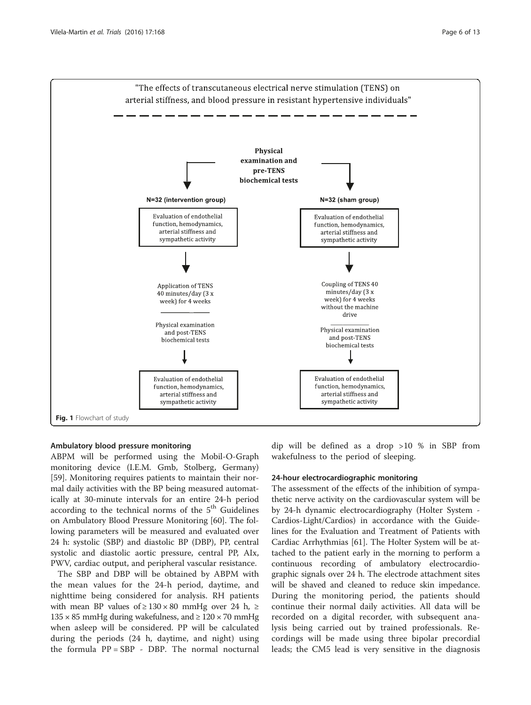<span id="page-5-0"></span>

#### Ambulatory blood pressure monitoring

ABPM will be performed using the Mobil-O-Graph monitoring device (I.E.M. Gmb, Stolberg, Germany) [[59\]](#page-12-0). Monitoring requires patients to maintain their normal daily activities with the BP being measured automatically at 30-minute intervals for an entire 24-h period according to the technical norms of the 5<sup>th</sup> Guidelines on Ambulatory Blood Pressure Monitoring [\[60](#page-12-0)]. The following parameters will be measured and evaluated over 24 h: systolic (SBP) and diastolic BP (DBP), PP, central systolic and diastolic aortic pressure, central PP, AIx, PWV, cardiac output, and peripheral vascular resistance.

The SBP and DBP will be obtained by ABPM with the mean values for the 24-h period, daytime, and nighttime being considered for analysis. RH patients with mean BP values of  $\geq 130 \times 80$  mmHg over 24 h,  $\geq$  $135 \times 85$  mmHg during wakefulness, and  $\geq 120 \times 70$  mmHg when asleep will be considered. PP will be calculated during the periods (24 h, daytime, and night) using the formula PP = SBP - DBP. The normal nocturnal dip will be defined as a drop >10 % in SBP from wakefulness to the period of sleeping.

#### 24-hour electrocardiographic monitoring

The assessment of the effects of the inhibition of sympathetic nerve activity on the cardiovascular system will be by 24-h dynamic electrocardiography (Holter System - Cardios-Light/Cardios) in accordance with the Guidelines for the Evaluation and Treatment of Patients with Cardiac Arrhythmias [\[61](#page-12-0)]. The Holter System will be attached to the patient early in the morning to perform a continuous recording of ambulatory electrocardiographic signals over 24 h. The electrode attachment sites will be shaved and cleaned to reduce skin impedance. During the monitoring period, the patients should continue their normal daily activities. All data will be recorded on a digital recorder, with subsequent analysis being carried out by trained professionals. Recordings will be made using three bipolar precordial leads; the CM5 lead is very sensitive in the diagnosis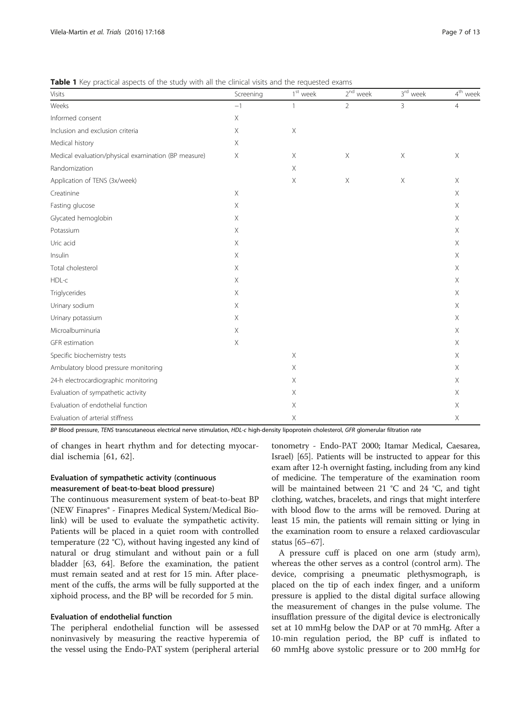| Visits                                               | Screening   | $1st$ week                | $2^{nd}$ week             | 3 <sup>rd</sup> week      | 4 <sup>th</sup> week |
|------------------------------------------------------|-------------|---------------------------|---------------------------|---------------------------|----------------------|
| Weeks                                                | $-1$        | $\mathbf{1}$              | $\overline{2}$            | 3                         | $\overline{4}$       |
| Informed consent                                     | $\mathsf X$ |                           |                           |                           |                      |
| Inclusion and exclusion criteria                     | Х           | $\mathsf X$               |                           |                           |                      |
| Medical history                                      | X           |                           |                           |                           |                      |
| Medical evaluation/physical examination (BP measure) | Χ           | $\times$                  | $\boldsymbol{\mathsf{X}}$ | $\boldsymbol{\mathsf{X}}$ | X                    |
| Randomization                                        |             | $\mathsf X$               |                           |                           |                      |
| Application of TENS (3x/week)                        |             | Χ                         | $\times$                  | $\mathsf X$               | $\times$             |
| Creatinine                                           | Χ           |                           |                           |                           | X.                   |
| Fasting glucose                                      | Χ           |                           |                           |                           | $\times$             |
| Glycated hemoglobin                                  | Χ           |                           |                           |                           | Χ                    |
| Potassium                                            | Χ           |                           |                           |                           | $\times$             |
| Uric acid                                            | Χ           |                           |                           |                           | X                    |
| Insulin                                              | Χ           |                           |                           |                           | Χ                    |
| Total cholesterol                                    | Χ           |                           |                           |                           | X                    |
| HDL-c                                                | Χ           |                           |                           |                           | X.                   |
| Triglycerides                                        | Χ           |                           |                           |                           | X                    |
| Urinary sodium                                       | Χ           |                           |                           |                           | Χ                    |
| Urinary potassium                                    | X           |                           |                           |                           | X                    |
| Microalbuminuria                                     | Χ           |                           |                           |                           | $\times$             |
| GFR estimation                                       | Χ           |                           |                           |                           | Χ                    |
| Specific biochemistry tests                          |             | $\boldsymbol{\mathsf{X}}$ |                           |                           | X                    |
| Ambulatory blood pressure monitoring                 |             | X                         |                           |                           | X                    |
| 24-h electrocardiographic monitoring                 |             | Χ                         |                           |                           | Χ                    |
| Evaluation of sympathetic activity                   |             | Χ                         |                           |                           | X                    |
| Evaluation of endothelial function                   |             | Χ                         |                           |                           | X                    |
| Evaluation of arterial stiffness                     |             | Χ                         |                           |                           | Χ                    |

<span id="page-6-0"></span>Table 1 Key practical aspects of the study with all the clinical visits and the requested exams

BP Blood pressure, TENS transcutaneous electrical nerve stimulation, HDL-c high-density lipoprotein cholesterol, GFR glomerular filtration rate

of changes in heart rhythm and for detecting myocardial ischemia [\[61](#page-12-0), [62](#page-12-0)].

#### Evaluation of sympathetic activity (continuous measurement of beat-to-beat blood pressure)

The continuous measurement system of beat-to-beat BP (NEW Finapres® - Finapres Medical System/Medical Biolink) will be used to evaluate the sympathetic activity. Patients will be placed in a quiet room with controlled temperature (22 °C), without having ingested any kind of natural or drug stimulant and without pain or a full bladder [\[63, 64\]](#page-12-0). Before the examination, the patient must remain seated and at rest for 15 min. After placement of the cuffs, the arms will be fully supported at the xiphoid process, and the BP will be recorded for 5 min.

#### Evaluation of endothelial function

The peripheral endothelial function will be assessed noninvasively by measuring the reactive hyperemia of the vessel using the Endo-PAT system (peripheral arterial

tonometry - Endo-PAT 2000; Itamar Medical, Caesarea, Israel) [\[65\]](#page-12-0). Patients will be instructed to appear for this exam after 12-h overnight fasting, including from any kind of medicine. The temperature of the examination room will be maintained between 21 °C and 24 °C, and tight clothing, watches, bracelets, and rings that might interfere with blood flow to the arms will be removed. During at least 15 min, the patients will remain sitting or lying in the examination room to ensure a relaxed cardiovascular status [[65](#page-12-0)–[67\]](#page-12-0).

A pressure cuff is placed on one arm (study arm), whereas the other serves as a control (control arm). The device, comprising a pneumatic plethysmograph, is placed on the tip of each index finger, and a uniform pressure is applied to the distal digital surface allowing the measurement of changes in the pulse volume. The insufflation pressure of the digital device is electronically set at 10 mmHg below the DAP or at 70 mmHg. After a 10-min regulation period, the BP cuff is inflated to 60 mmHg above systolic pressure or to 200 mmHg for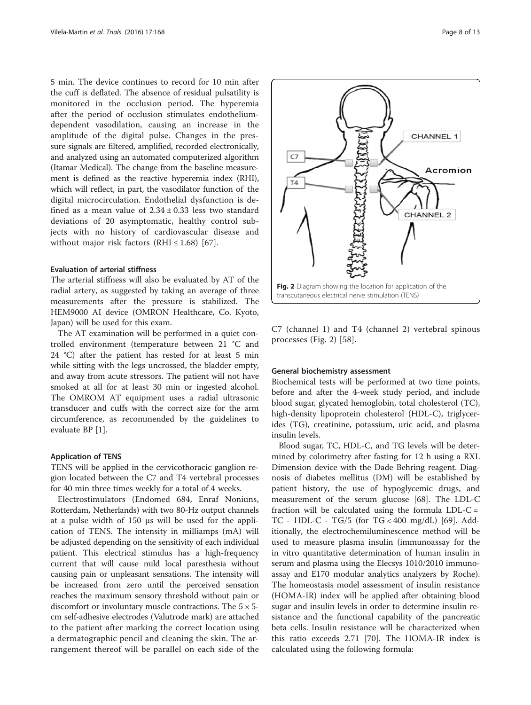5 min. The device continues to record for 10 min after the cuff is deflated. The absence of residual pulsatility is monitored in the occlusion period. The hyperemia after the period of occlusion stimulates endotheliumdependent vasodilation, causing an increase in the amplitude of the digital pulse. Changes in the pressure signals are filtered, amplified, recorded electronically, and analyzed using an automated computerized algorithm (Itamar Medical). The change from the baseline measurement is defined as the reactive hyperemia index (RHI), which will reflect, in part, the vasodilator function of the digital microcirculation. Endothelial dysfunction is defined as a mean value of  $2.34 \pm 0.33$  less two standard deviations of 20 asymptomatic, healthy control subjects with no history of cardiovascular disease and without major risk factors (RHI  $\leq$  1.68) [[67\]](#page-12-0).

#### Evaluation of arterial stiffness

The arterial stiffness will also be evaluated by AT of the radial artery, as suggested by taking an average of three measurements after the pressure is stabilized. The HEM9000 AI device (OMRON Healthcare, Co. Kyoto, Japan) will be used for this exam.

The AT examination will be performed in a quiet controlled environment (temperature between 21 °C and 24 °C) after the patient has rested for at least 5 min while sitting with the legs uncrossed, the bladder empty, and away from acute stressors. The patient will not have smoked at all for at least 30 min or ingested alcohol. The OMROM AT equipment uses a radial ultrasonic transducer and cuffs with the correct size for the arm circumference, as recommended by the guidelines to evaluate BP [\[1](#page-10-0)].

#### Application of TENS

TENS will be applied in the cervicothoracic ganglion region located between the C7 and T4 vertebral processes for 40 min three times weekly for a total of 4 weeks.

Electrostimulators (Endomed 684, Enraf Noniuns, Rotterdam, Netherlands) with two 80-Hz output channels at a pulse width of 150 μs will be used for the application of TENS. The intensity in milliamps (mA) will be adjusted depending on the sensitivity of each individual patient. This electrical stimulus has a high-frequency current that will cause mild local paresthesia without causing pain or unpleasant sensations. The intensity will be increased from zero until the perceived sensation reaches the maximum sensory threshold without pain or discomfort or involuntary muscle contractions. The  $5 \times 5$ cm self-adhesive electrodes (Valutrode mark) are attached to the patient after marking the correct location using a dermatographic pencil and cleaning the skin. The arrangement thereof will be parallel on each side of the





C7 (channel 1) and T4 (channel 2) vertebral spinous processes (Fig. 2) [\[58](#page-11-0)].

#### General biochemistry assessment

Biochemical tests will be performed at two time points, before and after the 4-week study period, and include blood sugar, glycated hemoglobin, total cholesterol (TC), high-density lipoprotein cholesterol (HDL-C), triglycerides (TG), creatinine, potassium, uric acid, and plasma insulin levels.

Blood sugar, TC, HDL-C, and TG levels will be determined by colorimetry after fasting for 12 h using a RXL Dimension device with the Dade Behring reagent. Diagnosis of diabetes mellitus (DM) will be established by patient history, the use of hypoglycemic drugs, and measurement of the serum glucose [[68\]](#page-12-0). The LDL-C fraction will be calculated using the formula  $LDL-C =$ TC - HDL-C - TG/5 (for TG < 400 mg/dL) [\[69\]](#page-12-0). Additionally, the electrochemiluminescence method will be used to measure plasma insulin (immunoassay for the in vitro quantitative determination of human insulin in serum and plasma using the Elecsys 1010/2010 immunoassay and E170 modular analytics analyzers by Roche). The homeostasis model assessment of insulin resistance (HOMA-IR) index will be applied after obtaining blood sugar and insulin levels in order to determine insulin resistance and the functional capability of the pancreatic beta cells. Insulin resistance will be characterized when this ratio exceeds 2.71 [[70\]](#page-12-0). The HOMA-IR index is calculated using the following formula: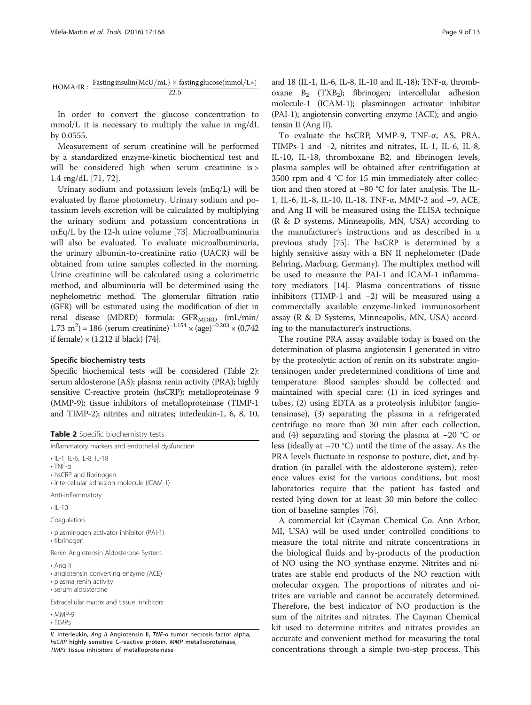$$
HOMA\text{-}IR: \ \frac{Fasting insulin(McU/mL)\times fasting glucose(mmol/L*)}{22.5}.
$$

In order to convert the glucose concentration to mmol/L it is necessary to multiply the value in mg/dL by 0.0555.

Measurement of serum creatinine will be performed by a standardized enzyme-kinetic biochemical test and will be considered high when serum creatinine is > 1.4 mg/dL [[71, 72\]](#page-12-0).

Urinary sodium and potassium levels (mEq/L) will be evaluated by flame photometry. Urinary sodium and potassium levels excretion will be calculated by multiplying the urinary sodium and potassium concentrations in mEq/L by the 12-h urine volume [\[73\]](#page-12-0). Microalbuminuria will also be evaluated. To evaluate microalbuminuria, the urinary albumin-to-creatinine ratio (UACR) will be obtained from urine samples collected in the morning. Urine creatinine will be calculated using a colorimetric method, and albuminuria will be determined using the nephelometric method. The glomerular filtration ratio (GFR) will be estimated using the modification of diet in renal disease (MDRD) formula:  $GFR_{\rm MDRD}$  (mL/min/ 1.73 m<sup>2</sup>) = 186 (serum creatinine)<sup>-1.154</sup> × (age)<sup>-0.203</sup> × (0.742 if female)  $\times$  (1.212 if black) [\[74](#page-12-0)].

#### Specific biochemistry tests

Specific biochemical tests will be considered (Table 2): serum aldosterone (AS); plasma renin activity (PRA); highly sensitive C-reactive protein (hsCRP); metalloproteinase 9 (MMP-9); tissue inhibitors of metalloproteinase (TIMP-1 and TIMP-2); nitrites and nitrates; interleukin-1, 6, 8, 10,

Table 2 Specific biochemistry tests

Inflammatory markers and endothelial dysfunction

• IL-1, IL-6, IL-8, IL-18

• TNF-α

• hsCRP and fibrinogen • intercellular adhesion molecule (ICAM-1)

Anti-inflammatory

 $\cdot$  II-10

Coagulation

• plasminogen activator inhibitor (PAI-1)

• fibrinogen

Renin Angiotensin Aldosterone System

• Ang II

- angiotensin converting enzyme (ACE)
- plasma renin activity
- serum aldosterone

Extracellular matrix and tissue inhibitors

• MMP-9

• TIMPs

IL interleukin, Ang II Angiotensin II, TNF-<sup>α</sup> tumor necrosis factor alpha, hsCRP highly sensitive C-reactive protein, MMP metalloproteinase, TIMPs tissue inhibitors of metalloproteinase

and 18 (IL-1, IL-6, IL-8, IL-10 and IL-18); TNF-α, thromboxane  $B_2$  (TXB<sub>2</sub>); fibrinogen; intercellular adhesion molecule-1 (ICAM-1); plasminogen activator inhibitor (PAI-1); angiotensin converting enzyme (ACE); and angiotensin II (Ang II).

To evaluate the hsCRP, MMP-9, TNF-α, AS, PRA, TIMPs-1 and −2, nitrites and nitrates, IL-1, IL-6, IL-8, IL-10, IL-18, thromboxane B2, and fibrinogen levels, plasma samples will be obtained after centrifugation at 3500 rpm and 4 °C for 15 min immediately after collection and then stored at −80 °C for later analysis. The IL-1, IL-6, IL-8, IL-10, IL-18, TNF-α, MMP-2 and −9, ACE, and Ang II will be measured using the ELISA technique (R & D systems, Minneapolis, MN, USA) according to the manufacturer's instructions and as described in a previous study [[75](#page-12-0)]. The hsCRP is determined by a highly sensitive assay with a BN II nephelometer (Dade Behring, Marburg, Germany). The multiplex method will be used to measure the PAI-1 and ICAM-1 inflammatory mediators [[14](#page-11-0)]. Plasma concentrations of tissue inhibitors (TIMP-1 and −2) will be measured using a commercially available enzyme-linked immunosorbent assay (R & D Systems, Minneapolis, MN, USA) according to the manufacturer's instructions.

The routine PRA assay available today is based on the determination of plasma angiotensin I generated in vitro by the proteolytic action of renin on its substrate: angiotensinogen under predetermined conditions of time and temperature. Blood samples should be collected and maintained with special care: (1) in iced syringes and tubes, (2) using EDTA as a proteolysis inhibitor (angiotensinase), (3) separating the plasma in a refrigerated centrifuge no more than 30 min after each collection, and (4) separating and storing the plasma at −20 °C or less (ideally at −70 °C) until the time of the assay. As the PRA levels fluctuate in response to posture, diet, and hydration (in parallel with the aldosterone system), reference values exist for the various conditions, but most laboratories require that the patient has fasted and rested lying down for at least 30 min before the collection of baseline samples [\[76](#page-12-0)].

A commercial kit (Cayman Chemical Co. Ann Arbor, MI, USA) will be used under controlled conditions to measure the total nitrite and nitrate concentrations in the biological fluids and by-products of the production of NO using the NO synthase enzyme. Nitrites and nitrates are stable end products of the NO reaction with molecular oxygen. The proportions of nitrates and nitrites are variable and cannot be accurately determined. Therefore, the best indicator of NO production is the sum of the nitrites and nitrates. The Cayman Chemical kit used to determine nitrites and nitrates provides an accurate and convenient method for measuring the total concentrations through a simple two-step process. This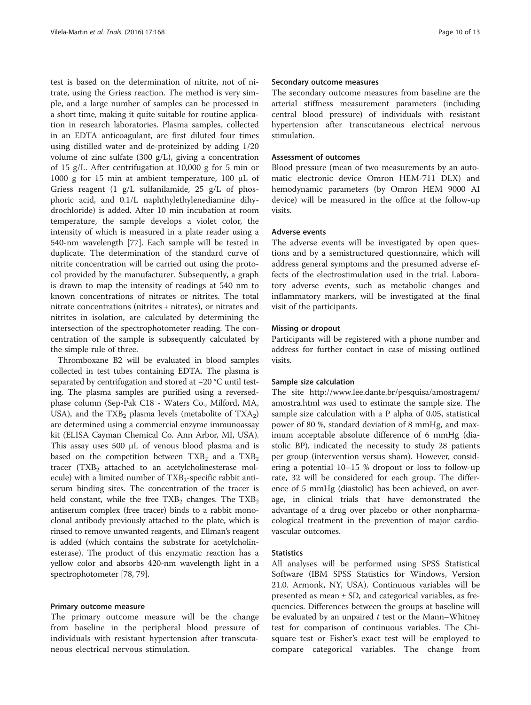test is based on the determination of nitrite, not of nitrate, using the Griess reaction. The method is very simple, and a large number of samples can be processed in a short time, making it quite suitable for routine application in research laboratories. Plasma samples, collected in an EDTA anticoagulant, are first diluted four times using distilled water and de-proteinized by adding 1/20 volume of zinc sulfate (300 g/L), giving a concentration of 15 g/L. After centrifugation at 10,000 g for 5 min or 1000 g for 15 min at ambient temperature, 100 μL of Griess reagent (1 g/L sulfanilamide, 25 g/L of phosphoric acid, and 0.1/L naphthylethylenediamine dihydrochloride) is added. After 10 min incubation at room temperature, the sample develops a violet color, the intensity of which is measured in a plate reader using a 540-nm wavelength [[77\]](#page-12-0). Each sample will be tested in duplicate. The determination of the standard curve of nitrite concentration will be carried out using the protocol provided by the manufacturer. Subsequently, a graph is drawn to map the intensity of readings at 540 nm to known concentrations of nitrates or nitrites. The total nitrate concentrations (nitrites + nitrates), or nitrates and nitrites in isolation, are calculated by determining the intersection of the spectrophotometer reading. The concentration of the sample is subsequently calculated by the simple rule of three.

Thromboxane B2 will be evaluated in blood samples collected in test tubes containing EDTA. The plasma is separated by centrifugation and stored at −20 °C until testing. The plasma samples are purified using a reversedphase column (Sep-Pak C18 - Waters Co., Milford, MA, USA), and the  $TXB_2$  plasma levels (metabolite of  $TXA_2$ ) are determined using a commercial enzyme immunoassay kit (ELISA Cayman Chemical Co. Ann Arbor, MI, USA). This assay uses 500 μL of venous blood plasma and is based on the competition between  $TXB_2$  and a  $TXB_2$ tracer  $(TXB_2$  attached to an acetylcholinesterase molecule) with a limited number of  $TXB<sub>2</sub>$ -specific rabbit antiserum binding sites. The concentration of the tracer is held constant, while the free  $TXB_2$  changes. The  $TXB_2$ antiserum complex (free tracer) binds to a rabbit monoclonal antibody previously attached to the plate, which is rinsed to remove unwanted reagents, and Ellman's reagent is added (which contains the substrate for acetylcholinesterase). The product of this enzymatic reaction has a yellow color and absorbs 420-nm wavelength light in a spectrophotometer [[78](#page-12-0), [79](#page-12-0)].

#### Primary outcome measure

The primary outcome measure will be the change from baseline in the peripheral blood pressure of individuals with resistant hypertension after transcutaneous electrical nervous stimulation.

#### Secondary outcome measures

The secondary outcome measures from baseline are the arterial stiffness measurement parameters (including central blood pressure) of individuals with resistant hypertension after transcutaneous electrical nervous stimulation.

#### Assessment of outcomes

Blood pressure (mean of two measurements by an automatic electronic device Omron HEM-711 DLX) and hemodynamic parameters (by Omron HEM 9000 AI device) will be measured in the office at the follow-up visits.

#### Adverse events

The adverse events will be investigated by open questions and by a semistructured questionnaire, which will address general symptoms and the presumed adverse effects of the electrostimulation used in the trial. Laboratory adverse events, such as metabolic changes and inflammatory markers, will be investigated at the final visit of the participants.

#### Missing or dropout

Participants will be registered with a phone number and address for further contact in case of missing outlined visits.

#### Sample size calculation

The site [http://www.lee.dante.br/pesquisa/amostragem/](http://www.lee.dante.br/pesquisa/amostragem/amostra.html) [amostra.html](http://www.lee.dante.br/pesquisa/amostragem/amostra.html) was used to estimate the sample size. The sample size calculation with a P alpha of 0.05, statistical power of 80 %, standard deviation of 8 mmHg, and maximum acceptable absolute difference of 6 mmHg (diastolic BP), indicated the necessity to study 28 patients per group (intervention versus sham). However, considering a potential 10–15 % dropout or loss to follow-up rate, 32 will be considered for each group. The difference of 5 mmHg (diastolic) has been achieved, on average, in clinical trials that have demonstrated the advantage of a drug over placebo or other nonpharmacological treatment in the prevention of major cardiovascular outcomes.

#### **Statistics**

All analyses will be performed using SPSS Statistical Software (IBM SPSS Statistics for Windows, Version 21.0. Armonk, NY, USA). Continuous variables will be presented as mean  $\pm$  SD, and categorical variables, as frequencies. Differences between the groups at baseline will be evaluated by an unpaired  $t$  test or the Mann–Whitney test for comparison of continuous variables. The Chisquare test or Fisher's exact test will be employed to compare categorical variables. The change from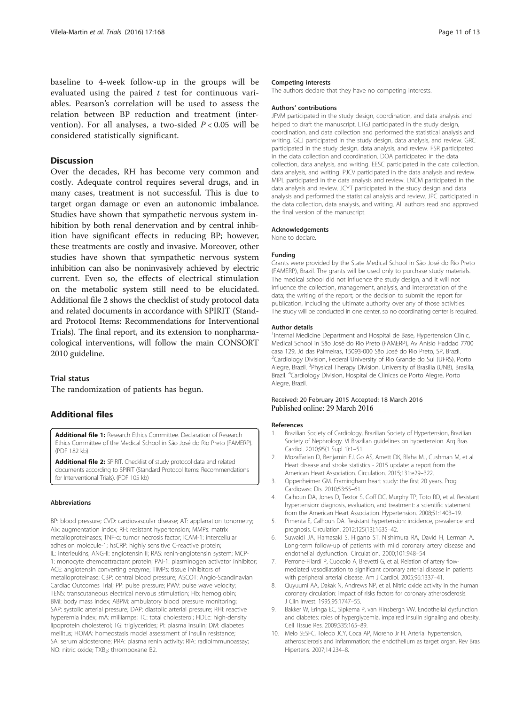<span id="page-10-0"></span>baseline to 4-week follow-up in the groups will be evaluated using the paired  $t$  test for continuous variables. Pearson's correlation will be used to assess the relation between BP reduction and treatment (intervention). For all analyses, a two-sided  $P < 0.05$  will be considered statistically significant.

#### Discussion

Over the decades, RH has become very common and costly. Adequate control requires several drugs, and in many cases, treatment is not successful. This is due to target organ damage or even an autonomic imbalance. Studies have shown that sympathetic nervous system inhibition by both renal denervation and by central inhibition have significant effects in reducing BP; however, these treatments are costly and invasive. Moreover, other studies have shown that sympathetic nervous system inhibition can also be noninvasively achieved by electric current. Even so, the effects of electrical stimulation on the metabolic system still need to be elucidated. Additional file 2 shows the checklist of study protocol data and related documents in accordance with SPIRIT (Standard Protocol Items: Recommendations for Interventional Trials). The final report, and its extension to nonpharmacological interventions, will follow the main CONSORT 2010 guideline.

#### Trial status

The randomization of patients has begun.

#### Additional files

[Additional file 1:](dx.doi.org/10.1186/s13063-016-1302-8) Research Ethics Committee. Declaration of Research Ethics Committee of the Medical School in São José do Rio Preto (FAMERP). (PDF 182 kb)

[Additional file 2:](dx.doi.org/10.1186/s13063-016-1302-8) SPIRIT. Checklist of study protocol data and related documents according to SPIRIT (Standard Protocol Items: Recommendations for Interventional Trials). (PDF 105 kb)

#### Abbreviations

BP: blood pressure; CVD: cardiovascular disease; AT: applanation tonometry; AIx: augmentation index; RH: resistant hypertension; MMPs: matrix metalloproteinases; TNF-α: tumor necrosis factor; ICAM-1: intercellular adhesion molecule-1; hsCRP: highly sensitive C-reactive protein; IL: interleukins; ANG-II: angiotensin II; RAS: renin-angiotensin system; MCP-1: monocyte chemoattractant protein; PAI-1: plasminogen activator inhibitor; ACE: angiotensin converting enzyme; TIMPs: tissue inhibitors of metalloproteinase; CBP: central blood pressure; ASCOT: Anglo-Scandinavian Cardiac Outcomes Trial; PP: pulse pressure; PWV: pulse wave velocity; TENS: transcutaneous electrical nervous stimulation; Hb: hemoglobin; BMI: body mass index; ABPM: ambulatory blood pressure monitoring; SAP: systolic arterial pressure; DAP: diastolic arterial pressure; RHI: reactive hyperemia index; mA: milliamps; TC: total cholesterol; HDLc: high-density lipoprotein cholesterol; TG: triglycerides; PI: plasma insulin; DM: diabetes mellitus; HOMA: homeostasis model assessment of insulin resistance; SA: serum aldosterone; PRA: plasma renin activity; RIA: radioimmunoassay; NO: nitric oxide; TXB<sub>2</sub>: thromboxane B2.

#### Competing interests

The authors declare that they have no competing interests.

#### Authors' contributions

JFVM participated in the study design, coordination, and data analysis and helped to draft the manuscript. LTGJ participated in the study design, coordination, and data collection and performed the statistical analysis and writing. GCJ participated in the study design, data analysis, and review. GRC participated in the study design, data analysis, and review. FSR participated in the data collection and coordination. DOA participated in the data collection, data analysis, and writing. EESC participated in the data collection, data analysis, and writing. PJCV participated in the data analysis and review. MIPL participated in the data analysis and review. LNCM participated in the data analysis and review. JCYT participated in the study design and data analysis and performed the statistical analysis and review. JPC participated in the data collection, data analysis, and writing. All authors read and approved the final version of the manuscript.

#### Acknowledgements

None to declare.

#### Funding

Grants were provided by the State Medical School in São José do Rio Preto (FAMERP), Brazil. The grants will be used only to purchase study materials. The medical school did not influence the study design, and it will not influence the collection, management, analysis, and interpretation of the data; the writing of the report; or the decision to submit the report for publication, including the ultimate authority over any of those activities. The study will be conducted in one center, so no coordinating center is required.

#### Author details

<sup>1</sup>Internal Medicine Department and Hospital de Base, Hypertension Clinic, Medical School in São José do Rio Preto (FAMERP), Av Anísio Haddad 7700 casa 129, Jd das Palmeiras, 15093-000 São José do Rio Preto, SP, Brazil. <sup>2</sup>Cardiology Division, Federal University of Rio Grande do Sul (UFRS), Porto Alegre, Brazil. <sup>3</sup>Physical Therapy Division, University of Brasilia (UNB), Brasilia, Brazil. <sup>4</sup> Cardiology Division, Hospital de Clínicas de Porto Alegre, Porto Alegre, Brazil.

#### Received: 20 February 2015 Accepted: 18 March 2016 Published online: 29 March 2016

#### References

- 1. Brazilian Society of Cardiology, Brazilian Society of Hypertension, Brazilian Society of Nephrology. VI Brazilian guidelines on hypertension. Arq Bras Cardiol. 2010;95(1 Supl 1):1–51.
- 2. Mozaffarian D, Benjamin EJ, Go AS, Arnett DK, Blaha MJ, Cushman M, et al. Heart disease and stroke statistics - 2015 update: a report from the American Heart Association. Circulation. 2015;131:e29–322.
- 3. Oppenheimer GM. Framingham heart study: the first 20 years. Prog Cardiovasc Dis. 2010;53:55–61.
- 4. Calhoun DA, Jones D, Textor S, Goff DC, Murphy TP, Toto RD, et al. Resistant hypertension: diagnosis, evaluation, and treatment: a scientific statement from the American Heart Association. Hypertension. 2008;51:1403–19.
- 5. Pimenta E, Calhoun DA. Resistant hypertension: incidence, prevalence and prognosis. Circulation. 2012;125(13):1635–42.
- 6. Suwaidi JA, Hamasaki S, Higano ST, Nishimura RA, David H, Lerman A. Long-term follow-up of patients with mild coronary artery disease and endothelial dysfunction. Circulation. 2000;101:948–54.
- 7. Perrone-Filardi P, Cuocolo A, Brevetti G, et al. Relation of artery flowmediated vasodilatation to significant coronary arterial disease in patients with peripheral arterial disease. Am J Cardiol. 2005;96:1337–41.
- 8. Quyuumi AA, Dakak N, Andrews NP, et al. Nitric oxide activity in the human coronary circulation: impact of risks factors for coronary atherosclerosis. J Clin Invest. 1995;95:1747–55.
- 9. Bakker W, Eringa EC, Sipkema P, van Hinsbergh VW. Endothelial dysfunction and diabetes: roles of hyperglycemia, impaired insulin signaling and obesity. Cell Tissue Res. 2009;335:165–89.
- 10. Melo SESFC, Toledo JCY, Coca AP, Moreno Jr H. Arterial hypertension, atherosclerosis and inflammation: the endothelium as target organ. Rev Bras Hipertens. 2007;14:234–8.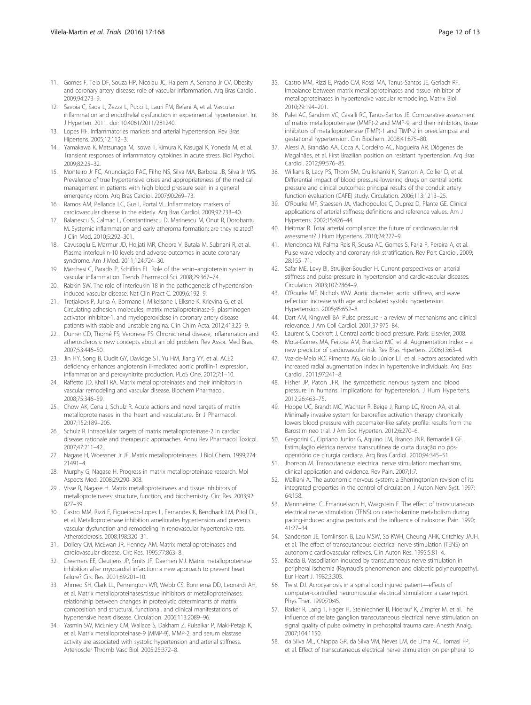- <span id="page-11-0"></span>11. Gomes F, Telo DF, Souza HP, Nicolau JC, Halpern A, Serrano Jr CV. Obesity and coronary artery disease: role of vascular inflammation. Arq Bras Cardiol. 2009;94:273–9.
- 12. Savoia C, Sada L, Zezza L, Pucci L, Lauri FM, Befani A, et al. Vascular inflammation and endothelial dysfunction in experimental hypertension. Int J Hyperten. 2011. doi: [10.4061/2011/281240.](http://dx.doi.org/10.4061/2011/281240)
- 13. Lopes HF. Inflammatories markers and arterial hypertension. Rev Bras Hipertens. 2005;12:112–3.
- 14. Yamakawa K, Matsunaga M, Isowa T, Kimura K, Kasugai K, Yoneda M, et al. Transient responses of inflammatory cytokines in acute stress. Biol Psychol. 2009;82:25–32.
- 15. Monteiro Jr FC, Anunciação FAC, Filho NS, Silva MA, Barbosa JB, Silva Jr WS. Prevalence of true hypertensive crises and appropriateness of the medical management in patients with high blood pressure seen in a general emergency room. Arq Bras Cardiol. 2007;90:269–73.
- 16. Ramos AM, Pellanda LC, Gus I, Portal VL. Inflammatory markers of cardiovascular disease in the elderly. Arq Bras Cardiol. 2009;92:233–40.
- 17. Balanescu S, Calmac L, Constantinescu D, Marinescu M, Onut R, Dorobantu M. Systemic inflammation and early atheroma formation: are they related? J Clin Med. 2010;5:292–301.
- 18. Cavusoglu E, Marmur JD, Hojjati MR, Chopra V, Butala M, Subnani R, et al. Plasma interleukin-10 levels and adverse outcomes in acute coronary syndrome. Am J Med. 2011;124:724–30.
- 19. Marchesi C, Paradis P, Schiffrin EL. Role of the renin–angiotensin system in vascular inflammation. Trends Pharmacol Sci. 2008;29:367–74.
- 20. Rabkin SW. The role of interleukin 18 in the pathogenesis of hypertensioninduced vascular disease. Nat Clin Pract C. 2009;6:192–9.
- 21. Tretjakovs P, Jurka A, Bormane I, Mikelsone I, Elksne K, Krievina G, et al. Circulating adhesion molecules, matrix metalloproteinase-9, plasminogen activator inhibitor-1, and myeloperoxidase in coronary artery disease patients with stable and unstable angina. Clin Chim Acta. 2012;413:25–9.
- 22. Dumer CD, Thomé FS, Veronese FS. Chronic renal disease, inflammation and atherosclerosis: new concepts about an old problem. Rev Assoc Med Bras. 2007;53:446–50.
- 23. Jin HY, Song B, Oudit GY, Davidge ST, Yu HM, Jiang YY, et al. ACE2 deficiency enhances angiotensin ii-mediated aortic profilin-1 expression, inflammation and peroxynitrite production. PLoS One. 2012;7:1–10.
- 24. Raffetto JD, Khalil RA. Matrix metalloproteinases and their inhibitors in vascular remodeling and vascular disease. Biochem Pharmacol. 2008;75:346–59.
- 25. Chow AK, Cena J, Schulz R. Acute actions and novel targets of matrix metalloproteinases in the heart and vasculature. Br J Pharmacol. 2007;152:189–205.
- 26. Schulz R. Intracellular targets of matrix metalloproteinase-2 in cardiac disease: rationale and therapeutic approaches. Annu Rev Pharmacol Toxicol. 2007;47:211–42.
- 27. Nagase H, Woessner Jr JF. Matrix metalloproteinases. J Biol Chem. 1999;274: 21491–4.
- 28. Murphy G, Nagase H. Progress in matrix metalloproteinase research. Mol Aspects Med. 2008;29:290–308.
- 29. Visse R, Nagase H. Matrix metalloproteinases and tissue inhibitors of metalloproteinases: structure, function, and biochemistry. Circ Res. 2003;92: 827–39.
- 30. Castro MM, Rizzi E, Figueiredo-Lopes L, Fernandes K, Bendhack LM, Pitol DL, et al. Metalloproteinase inhibition ameliorates hypertension and prevents vascular dysfunction and remodeling in renovascular hypertensive rats. Atherosclerosis. 2008;198:320–31.
- 31. Dollery CM, McEwan JR, Henney AM. Matrix metalloproteinases and cardiovascular disease. Circ Res. 1995;77:863–8.
- 32. Creemers EE, Cleutjens JP, Smits JF, Daemen MJ. Matrix metalloproteinase inhibition after myocardial infarction: a new approach to prevent heart failure? Circ Res. 2001;89:201–10.
- 33. Ahmed SH, Clark LL, Pennington WR, Webb CS, Bonnema DD, Leonardi AH, et al. Matrix metalloproteinases/tissue inhibitors of metalloproteinases: relationship between changes in proteolytic determinants of matrix composition and structural, functional, and clinical manifestations of hypertensive heart disease. Circulation. 2006;113:2089–96.
- 34. Yasmin SW, McEniery CM, Wallace S, Dakham Z, Pulsalkar P, Maki-Petaja K, et al. Matrix metalloproteinase-9 (MMP-9), MMP-2, and serum elastase activity are associated with systolic hypertension and arterial stiffness. Arterioscler Thromb Vasc Biol. 2005;25:372–8.
- 35. Castro MM, Rizzi E, Prado CM, Rossi MA, Tanus-Santos JE, Gerlach RF. Imbalance between matrix metalloproteinases and tissue inhibitor of metalloproteinases in hypertensive vascular remodeling. Matrix Biol. 2010;29:194–201.
- 36. Palei AC, Sandrim VC, Cavalli RC, Tanus-Santos JE. Comparative assessment of matrix metalloproteinase (MMP)-2 and MMP-9, and their inhibitors, tissue inhibitors of metalloproteinase (TIMP)-1 and TIMP-2 in preeclampsia and gestational hypertension. Clin Biochem. 2008;41:875–80.
- 37. Alessi A, Brandão AA, Coca A, Cordeiro AC, Nogueira AR. Diógenes de Magalhães, et al. First Brazilian position on resistant hypertension. Arq Bras Cardiol. 2012;99:576–85.
- 38. Willians B, Lacy PS, Thom SM, Cruikshanki K, Stanton A, Collier D, et al. Differential impact of blood pressure-lowering drugs on central aortic pressure and clinical outcomes: principal results of the conduit artery function evaluation (CAFE) study. Circulation. 2006;113:1213–25.
- 39. O'Rourke MF, Staessen JA, Vlachopoulos C, Duprez D, Plante GE. Clinical applications of arterial stiffness; definitions and reference values. Am J Hypertens. 2002;15:426–44.
- 40. Heitmar R. Total arterial compliance: the future of cardiovascular risk assessment? J Hum Hypertens. 2010;24:227–9.
- 41. Mendonça MI, Palma Reis R, Sousa AC, Gomes S, Faria P, Pereira A, et al. Pulse wave velocity and coronary risk stratification. Rev Port Cardiol. 2009; 28:155–71.
- 42. Safar ME, Levy BI, Struijker-Boudier H. Current perspectives on arterial stiffness and pulse pressure in hypertension and cardiovascular diseases. Circulation. 2003;107:2864–9.
- 43. O'Rourke MF, Nichols WW. Aortic diameter, aortic stiffness, and wave reflection increase with age and isolated systolic hypertension. Hypertension. 2005;45:652–8.
- 44. Dart AM, Kingwell BA. Pulse pressure a review of mechanisms and clinical relevance. J Am Coll Cardiol. 2001;37:975–84.
- 45. Laurent S, Cockroft J. Central aortic blood pressure. Paris: Elsevier; 2008.
- 46. Mota-Gomes MA, Feitosa AM, Brandão MC, et al. Augmentation Index a new predictor of cardiovascular risk. Rev Bras Hipertens. 2006;13:63–4.
- 47. Vaz-de-Melo RO, Pimenta AG, Giollo Júnior LT, et al. Factors associated with increased radial augmentation index in hypertensive individuals. Arq Bras Cardiol. 2011;97:241–8.
- 48. Fisher JP, Paton JFR. The sympathetic nervous system and blood pressure in humans: implications for hypertension. J Hum Hypertens. 2012;26:463–75.
- 49. Hoppe UC, Brandt MC, Wachter R, Beige J, Rump LC, Kroon AA, et al. Minimally invasive system for baroreflex activation therapy chronically lowers blood pressure with pacemaker-like safety profile: results from the Barostim neo trial. J Am Soc Hyperten. 2012;6:270–6.
- 50. Gregorini C, Cipriano Junior G, Aquino LM, Branco JNR, Bernardelli GF. Estimulação elétrica nervosa transcutânea de curta duração no pósoperatório de cirurgia cardíaca. Arq Bras Cardiol. 2010;94:345–51.
- 51. Jhonson M. Transcutaneous electrical nerve stimulation: mechanisms, clinical application and evidence. Rev Pain. 2007;1:7.
- 52. Malliani A. The autonomic nervous system: a Sherringtonian revision of its integrated properties in the control of circulation. J Auton Nerv Syst. 1997; 64:158.
- 53. Mannheimer C, Emanuelsson H, Waagstein F. The effect of transcutaneous electrical nerve stimulation (TENS) on catecholamine metabolism during pacing-induced angina pectoris and the influence of naloxone. Pain. 1990; 41:27–34.
- 54. Sanderson JE, Tomlinson B, Lau MSW, So KWH, Cheung AHK, Critchley JAJH, et al. The effect of transcutaneous electrical nerve stimulation (TENS) on autonomic cardiovascular reflexes. Clin Auton Res. 1995;5:81–4.
- 55. Kaada B. Vasodilation induced by transcutaneous nerve stimulation in peripheral ischemia (Raynaud's phenomenon and diabetic polyneuropathy). Eur Heart J. 1982;3:303.
- 56. Twist DJ. Acrocyanosis in a spinal cord injured patient—effects of computer-controlled neuromuscular electrical stimulation: a case report. Phys Ther. 1990;70:45.
- 57. Barker R, Lang T, Hager H, Steinlechner B, Hoerauf K, Zimpfer M, et al. The influence of stellate ganglion transcutaneous electrical nerve stimulation on signal quality of pulse oximetry in prehospital trauma care. Anesth Analg. 2007;104:1150.
- 58. da Silva ML, Chiappa GR, da Silva VM, Neves LM, de Lima AC, Tomasi FP, et al. Effect of transcutaneous electrical nerve stimulation on peripheral to